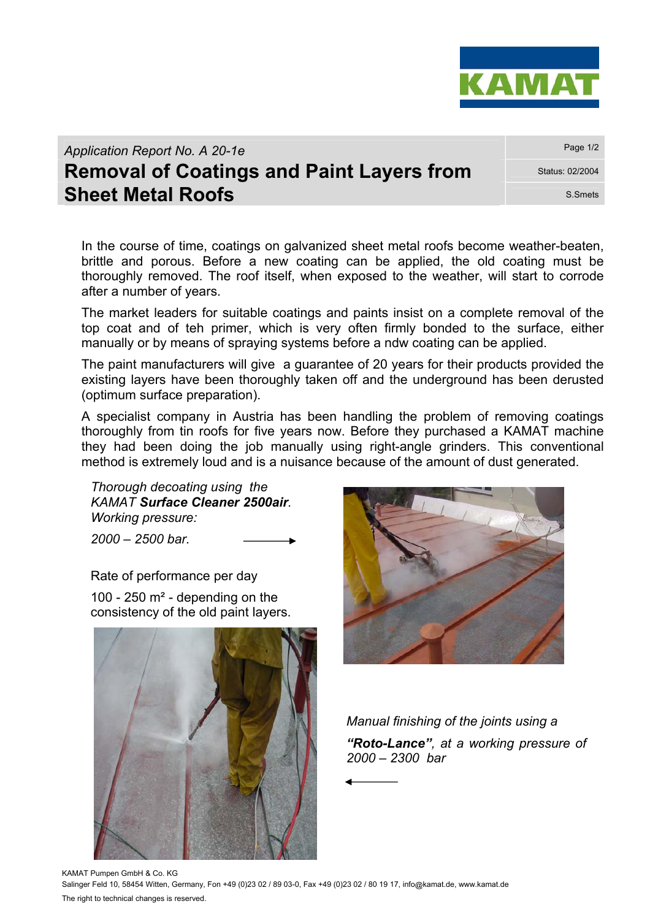

*Application Report No. A 20-1e* **Page 1/2** Page 1/2

## **Removal of Coatings and Paint Layers from Status: 02/2004 Sheet Metal Roofs** S.Smets

In the course of time, coatings on galvanized sheet metal roofs become weather-beaten, brittle and porous. Before a new coating can be applied, the old coating must be thoroughly removed. The roof itself, when exposed to the weather, will start to corrode after a number of years.

The market leaders for suitable coatings and paints insist on a complete removal of the top coat and of teh primer, which is very often firmly bonded to the surface, either manually or by means of spraying systems before a ndw coating can be applied.

The paint manufacturers will give a guarantee of 20 years for their products provided the existing layers have been thoroughly taken off and the underground has been derusted (optimum surface preparation).

A specialist company in Austria has been handling the problem of removing coatings thoroughly from tin roofs for five years now. Before they purchased a KAMAT machine they had been doing the job manually using right-angle grinders. This conventional method is extremely loud and is a nuisance because of the amount of dust generated.

*Thorough decoating using the KAMAT Surface Cleaner 2500air. Working pressure:* 

*2000 – 2500 bar.* 

Rate of performance per day

100 - 250  $m<sup>2</sup>$  - depending on the consistency of the old paint layers.





*Manual finishing of the joints using a "Roto-Lance", at a working pressure of 2000 – 2300 bar* 

KAMAT Pumpen GmbH & Co. KG Salinger Feld 10, 58454 Witten, Germany, Fon +49 (0)23 02 / 89 03-0, Fax +49 (0)23 02 / 80 19 17, info@kamat.de, www.kamat.de The right to technical changes is reserved.